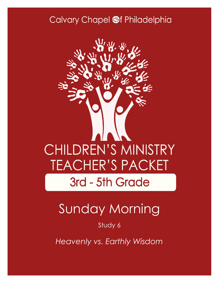## Calvary Chapel @f Philadelphia



# Sunday Morning

#### Study 6

*Heavenly vs. Earthly Wisdom*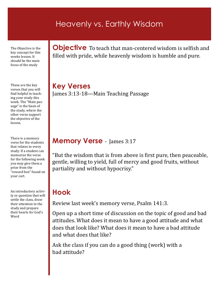### Heavenly vs. Earthly Wisdom

The Objective is the key concept for this weeks lesson. It should be the main focus of the study

These are the key verses that you will find helpful in teaching your study this week. The "Main passage" is the basis of the study, where the other verse support the objective of the lesson.

There is a memory verse for the students that relates to every study. If a student can memorize the verse for the following week you may give them a prize from the "reward box" found on your cart.

An introductory activity or question that will settle the class, draw their attention to the study and prepare their hearts for God's Word

**Objective** To teach that man-centered wisdom is selfish and filled with pride, while heavenly wisdom is humble and pure.

**Key Verses** James 3:13-18—Main Teaching Passage

#### **Memory Verse** - James 3:17

"But the wisdom that is from above is first pure, then peaceable, gentle, willing to yield, full of mercy and good fruits, without partiality and without hypocrisy."

## **Hook**

Review last week's memory verse, Psalm 141:3.

Open up a short time of discussion on the topic of good and bad attitudes. What does it mean to have a good attitude and what does that look like? What does it mean to have a bad attitude and what does that like?

Ask the class if you can do a good thing (work) with a bad attitude?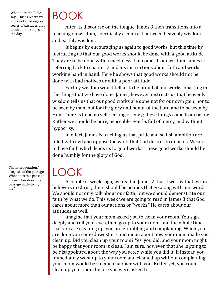What does the Bible say? This is where we will read a passage or series of passages that teach on the subject of the day.

BOOK

After its discourse on the tongue, James 3 then transitions into a teaching on wisdom, specifically a contrast between heavenly wisdom and earthly wisdom.

It begins by encouraging us again to good works, but this time by instructing us that our good works should be done with a good attitude. They are to be done with a meekness that comes from wisdom. James is referring back to chapter 2 and his instructions about faith and works working hand in hand. Here he shows that good works should not be done with bad motives or with a poor attitude.

Earthly wisdom would tell us to be proud of our works, boasting in the things that we have done. James, however, instructs us that heavenly wisdom tells us that our good works are done not for our own gain, nor to be seen by man, but for the glory and honor of the Lord and to be seen by Him. There is to be no self-seeking or envy; these things come from below. Rather we should be pure, peaceable, gentle, full of mercy, and without hypocrisy.

In effect, James is teaching us that pride and selfish ambition are filled with evil and oppose the work that God desires to do in us. We are to have faith which leads us to good works. These good works should be done humbly for the glory of God.

LOOK

A couple of weeks ago, we read in James 2 that if we say that we are believers in Christ, there should be actions that go along with our words. We should not only talk about our faith, but we should demonstrate our faith by what we do. This week we are going to read in James 3 that God cares about more than our actions or "works," He cares about our attitudes as well.

Imagine that your mom asked you to clean your room. You sigh deeply and roll your eyes, then go up to your room, and the whole time that you are cleaning up, you are grumbling and complaining. When you are done you come downstairs and moan about how your mom made you clean up. Did you clean up your room? Yes, you did, and your mom might be happy that your room is clean. I am sure, however, that she is going to be disappointed about the way you acted while you did it. If instead you immediately went up to your room and cleaned up without complaining, your mom would be so much happier with you. Better yet, you could clean up your room before you were asked to.

The interpretation/ exegesis of the passage. What does this passage mean? How does this passage apply to my life?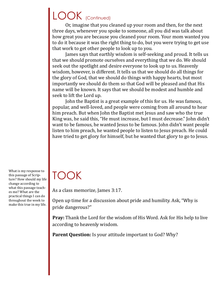## LOOK (Continued)

Or, imagine that you cleaned up your room and then, for the next three days, whenever you spoke to someone, all you did was talk about how great you are because you cleaned your room. Your mom wanted you to do it because it was the right thing to do, but you were trying to get use that work to get other people to look up to you.

James says that earthly wisdom is self-seeking and proud. It tells us that we should promote ourselves and everything that we do. We should seek out the spotlight and desire everyone to look up to us. Heavenly wisdom, however, is different. It tells us that we should do all things for the glory of God, that we should do things with happy hearts, but most importantly we should do them so that God will be pleased and that His name will be known. It says that we should be modest and humble and seek to lift the Lord up.

John the Baptist is a great example of this for us. He was famous, popular, and well-loved, and people were coming from all around to hear him preach. But when John the Baptist met Jesus and saw who the true King was, he said this, "He must increase, but I must decrease." John didn't want to be famous, he wanted Jesus to be famous. John didn't want people listen to him preach, he wanted people to listen to Jesus preach. He could have tried to get glory for himself, but he wanted that glory to go to Jesus.

What is my response to this passage of Scripture? How should my life change according to what this passage teaches me? What are the practical things I can do throughout the week to make this true in my life.

# TOOK

As a class memorize, James 3:17.

Open up time for a discussion about pride and humility. Ask, "Why is pride dangerous?"

**Pray:** Thank the Lord for the wisdom of His Word. Ask for His help to live according to heavenly wisdom.

**Parent Question:** Is your attitude important to God? Why?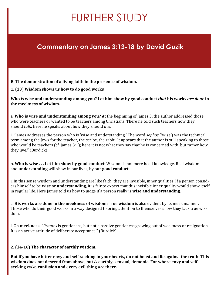# FURTHER STUDY

### **Commentary on James 3:13-18 by David Guzik**

**B. The demonstration of a living faith in the presence of wisdom.**

**1. (13) Wisdom shows us how to do good works**

**Who** *is* **wise and understanding among you? Let him show by good conduct** *that* **his works** *are done* **in the meekness of wisdom.**

a. **Who is wise and understanding among you?** At the beginning of James 3, the author addressed those who were teachers or wanted to be teachers among Christians. There he told such teachers how they should *talk*; here he speaks about how they should *live*.

i. "James addresses the person who is 'wise and understanding.' The word *sophos* ('wise') was the technical term among the Jews for the teacher, the scribe, the rabbi. It appears that the author is still speaking to those who would be teachers (cf. James  $3:1$ ); here it is not what they say that he is concerned with, but rather how they live." (Burdick)

b. **Who is wise . . . Let him show by good conduct**: Wisdom is not mere head knowledge. Real wisdom and **understanding** will show in our lives, by our **good conduct**.

i. In this sense wisdom and understanding are like faith; they are invisible, inner qualities. If a person considers himself to be **wise** or **understanding**, it is fair to expect that this invisible inner quality would show itself in regular life. Here James told us how to judge if a person really is **wise and understanding**.

c. **His works are done in the meekness of wisdom**: True **wisdom** is also evident by its meek manner. Those who do their good works in a way designed to bring attention to themselves show they lack true wisdom.

i. On **meekness**: "*Prautes* is gentleness, but not a passive gentleness growing out of weakness or resignation. It is an active attitude of deliberate acceptance." (Burdick)

**2. (14-16) The character of earthly wisdom.**

**But if you have bitter envy and self-seeking in your hearts, do not boast and lie against the truth. This wisdom does not descend from above, but** *is* **earthly, sensual, demonic. For where envy and selfseeking** *exist,* **confusion and every evil thing** *are* **there.**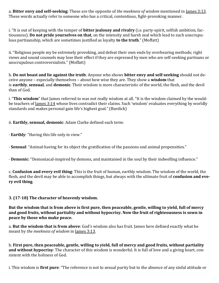a. **Bitter envy and self-seeking**: These are the opposite of *the meekness of wisdom* mentioned in [James 3:13.](https://biblia.com/bible/nkjv/James%203.13) These words actually refer to someone who has a critical, contentious, fight-provoking manner.

i. "It is out of keeping with the temper of **bitter jealousy and rivalry** (i.e. party-spirit, selfish ambition, factiousness). **Do not pride yourselves on that**, on the intensity and harsh zeal which lead to such unscrupulous partisanship, which are sometimes justified as loyalty **to the truth**." (Moffatt)

ii. "Religious people my be extremely provoking, and defeat their own ends by overbearing methods; right views and sound counsels may lose their effect if they are expressed by men who are self-seeking partisans or unscrupulous controversialists." (Moffatt)

b. **Do not boast and lie against the truth**: Anyone who shows **bitter envy and self-seeking** should not deceive anyone – especially themselves – about how wise they are. They show a **wisdom** that is **earthly**, **sensual**, and **demonic**. Their wisdom is more characteristic of the world, the flesh, and the devil than of God.

i. "**This wisdom**" that James referred to was not really wisdom at all. "It is the wisdom claimed by the would-be teachers of <u>[James 3:14](https://biblia.com/bible/nkjv/James%203.14)</u> whose lives contradict their claims. Such 'wisdom' evaluates everything by worldly standards and makes personal gain life's highest goal." (Burdick)

ii. **Earthly, sensual, demonic**: Adam Clarke defined each term:

· **Earthly**: "Having this life only in view."

· **Sensual**: "Animal-having for its object the gratification of the passions and animal propensities."

· **Demonic**: "Demoniacal-inspired by demons, and maintained in the soul by their indwelling influence."

c. **Confusion and every evil thing**: This is the fruit of human, earthly wisdom. The wisdom of the world, the flesh, and the devil may be able to accomplish things, but always with the ultimate fruit of **confusion and every evil thing**.

#### **3. (17-18) The character of heavenly wisdom.**

**But the wisdom that is from above is first pure, then peaceable, gentle, willing to yield, full of mercy and good fruits, without partiality and without hypocrisy. Now the fruit of righteousness is sown in peace by those who make peace.**

a. **But the wisdom that is from above**: God's wisdom also has fruit. James here defined exactly what he meant by *the meekness of wisdom* in [James 3:13.](https://biblia.com/bible/nkjv/James%203.13)

b. **First pure, then peaceable, gentle, willing to yield, full of mercy and good fruits, without partiality and without hypocrisy**: The character of this wisdom is wonderful. It is full of love and a giving heart, consistent with the holiness of God.

i. This wisdom is **first pure**: "The reference is not to sexual purity but to the absence of any sinful attitude or